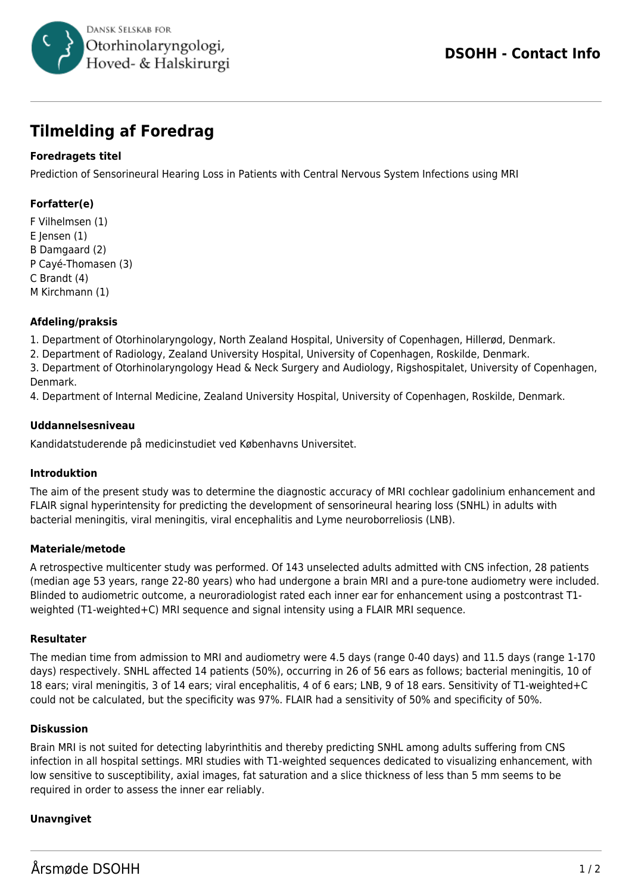

# **Tilmelding af Foredrag**

## **Foredragets titel**

Prediction of Sensorineural Hearing Loss in Patients with Central Nervous System Infections using MRI

## **Forfatter(e)**

F Vilhelmsen (1) E Jensen (1) B Damgaard (2) P Cayé-Thomasen (3) C Brandt (4) M Kirchmann (1)

#### **Afdeling/praksis**

1. Department of Otorhinolaryngology, North Zealand Hospital, University of Copenhagen, Hillerød, Denmark.

2. Department of Radiology, Zealand University Hospital, University of Copenhagen, Roskilde, Denmark.

3. Department of Otorhinolaryngology Head & Neck Surgery and Audiology, Rigshospitalet, University of Copenhagen, Denmark.

4. Department of Internal Medicine, Zealand University Hospital, University of Copenhagen, Roskilde, Denmark.

#### **Uddannelsesniveau**

Kandidatstuderende på medicinstudiet ved Københavns Universitet.

#### **Introduktion**

The aim of the present study was to determine the diagnostic accuracy of MRI cochlear gadolinium enhancement and FLAIR signal hyperintensity for predicting the development of sensorineural hearing loss (SNHL) in adults with bacterial meningitis, viral meningitis, viral encephalitis and Lyme neuroborreliosis (LNB).

#### **Materiale/metode**

A retrospective multicenter study was performed. Of 143 unselected adults admitted with CNS infection, 28 patients (median age 53 years, range 22-80 years) who had undergone a brain MRI and a pure-tone audiometry were included. Blinded to audiometric outcome, a neuroradiologist rated each inner ear for enhancement using a postcontrast T1 weighted (T1-weighted+C) MRI sequence and signal intensity using a FLAIR MRI sequence.

#### **Resultater**

The median time from admission to MRI and audiometry were 4.5 days (range 0-40 days) and 11.5 days (range 1-170 days) respectively. SNHL affected 14 patients (50%), occurring in 26 of 56 ears as follows; bacterial meningitis, 10 of 18 ears; viral meningitis, 3 of 14 ears; viral encephalitis, 4 of 6 ears; LNB, 9 of 18 ears. Sensitivity of T1-weighted+C could not be calculated, but the specificity was 97%. FLAIR had a sensitivity of 50% and specificity of 50%.

#### **Diskussion**

Brain MRI is not suited for detecting labyrinthitis and thereby predicting SNHL among adults suffering from CNS infection in all hospital settings. MRI studies with T1-weighted sequences dedicated to visualizing enhancement, with low sensitive to susceptibility, axial images, fat saturation and a slice thickness of less than 5 mm seems to be required in order to assess the inner ear reliably.

## **Unavngivet**